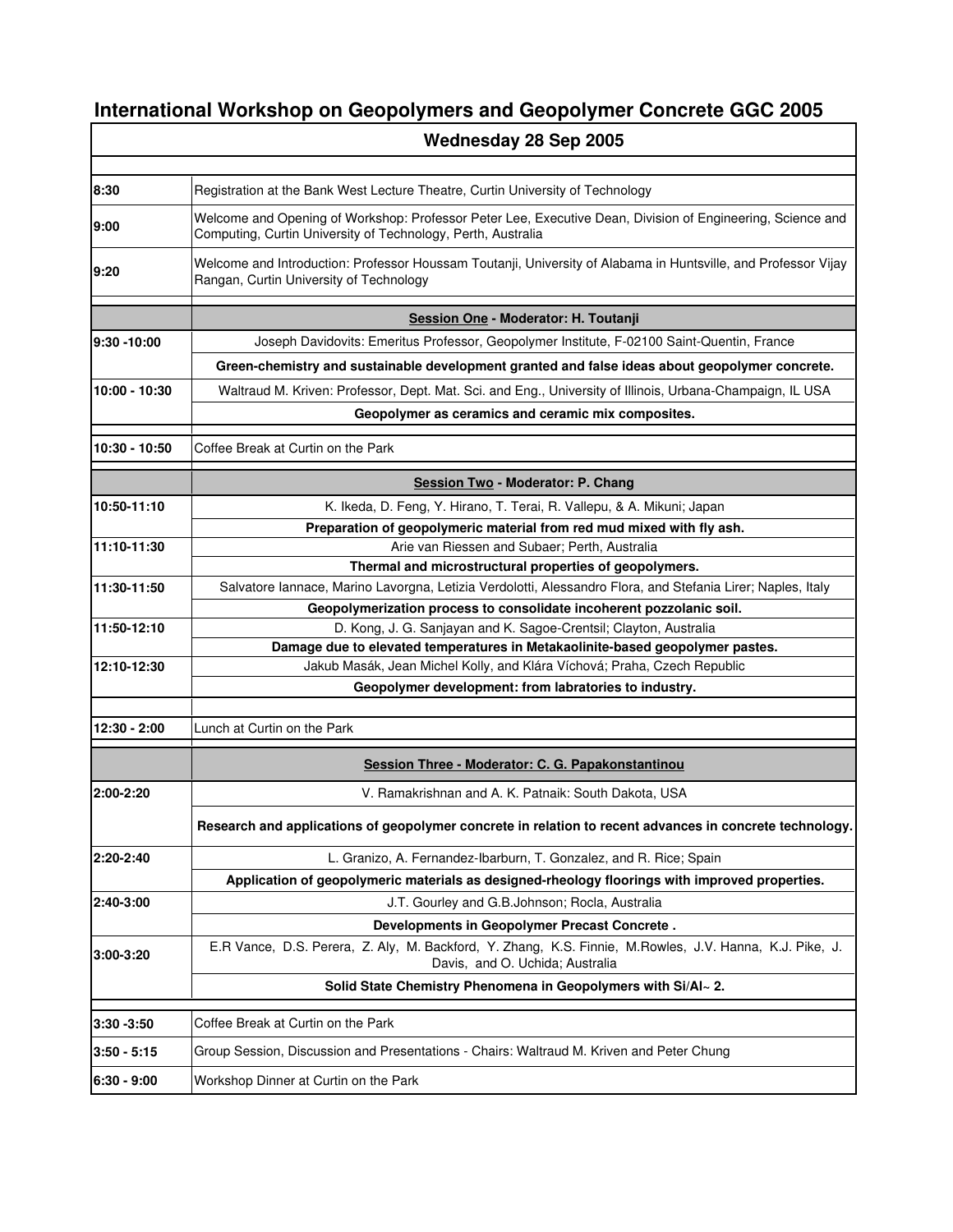## **International Workshop on Geopolymers and Geopolymer Concrete GGC 2005**

|               | Wednesday 28 Sep 2005                                                                                                                                                      |
|---------------|----------------------------------------------------------------------------------------------------------------------------------------------------------------------------|
|               |                                                                                                                                                                            |
| 8:30          | Registration at the Bank West Lecture Theatre, Curtin University of Technology                                                                                             |
| 9:00          | Welcome and Opening of Workshop: Professor Peter Lee, Executive Dean, Division of Engineering, Science and<br>Computing, Curtin University of Technology, Perth, Australia |
| 9:20          | Welcome and Introduction: Professor Houssam Toutanji, University of Alabama in Huntsville, and Professor Vijay<br>Rangan, Curtin University of Technology                  |
|               | Session One - Moderator: H. Toutanji                                                                                                                                       |
| 9:30 - 10:00  | Joseph Davidovits: Emeritus Professor, Geopolymer Institute, F-02100 Saint-Quentin, France                                                                                 |
|               | Green-chemistry and sustainable development granted and false ideas about geopolymer concrete.                                                                             |
| 10:00 - 10:30 | Waltraud M. Kriven: Professor, Dept. Mat. Sci. and Eng., University of Illinois, Urbana-Champaign, IL USA                                                                  |
|               | Geopolymer as ceramics and ceramic mix composites.                                                                                                                         |
|               |                                                                                                                                                                            |
| 10:30 - 10:50 | Coffee Break at Curtin on the Park                                                                                                                                         |
|               | Session Two - Moderator: P. Chang                                                                                                                                          |
| 10:50-11:10   | K. Ikeda, D. Feng, Y. Hirano, T. Terai, R. Vallepu, & A. Mikuni; Japan                                                                                                     |
|               | Preparation of geopolymeric material from red mud mixed with fly ash.                                                                                                      |
| 11:10-11:30   | Arie van Riessen and Subaer; Perth, Australia                                                                                                                              |
|               | Thermal and microstructural properties of geopolymers.                                                                                                                     |
| 11:30-11:50   | Salvatore Iannace, Marino Lavorgna, Letizia Verdolotti, Alessandro Flora, and Stefania Lirer; Naples, Italy                                                                |
| 11:50-12:10   | Geopolymerization process to consolidate incoherent pozzolanic soil.<br>D. Kong, J. G. Sanjayan and K. Sagoe-Crentsil; Clayton, Australia                                  |
|               | Damage due to elevated temperatures in Metakaolinite-based geopolymer pastes.                                                                                              |
| 12:10-12:30   | Jakub Masák, Jean Michel Kolly, and Klára Víchová; Praha, Czech Republic                                                                                                   |
|               | Geopolymer development: from labratories to industry.                                                                                                                      |
|               |                                                                                                                                                                            |
| 12:30 - 2:00  | Lunch at Curtin on the Park                                                                                                                                                |
|               | Session Three - Moderator: C. G. Papakonstantinou                                                                                                                          |
| 2:00-2:20     | V. Ramakrishnan and A. K. Patnaik: South Dakota, USA                                                                                                                       |
|               | Research and applications of geopolymer concrete in relation to recent advances in concrete technology.                                                                    |
| 2:20-2:40     | L. Granizo, A. Fernandez-Ibarburn, T. Gonzalez, and R. Rice; Spain                                                                                                         |
|               | Application of geopolymeric materials as designed-rheology floorings with improved properties.                                                                             |
| 2:40-3:00     | J.T. Gourley and G.B. Johnson; Rocla, Australia                                                                                                                            |
|               | Developments in Geopolymer Precast Concrete.                                                                                                                               |
| 3:00-3:20     | E.R Vance, D.S. Perera, Z. Aly, M. Backford, Y. Zhang, K.S. Finnie, M. Rowles, J.V. Hanna, K.J. Pike, J.<br>Davis, and O. Uchida; Australia                                |
|               | Solid State Chemistry Phenomena in Geopolymers with Si/Al~ 2.                                                                                                              |
| 3:30 -3:50    | Coffee Break at Curtin on the Park                                                                                                                                         |
| $3:50 - 5:15$ | Group Session, Discussion and Presentations - Chairs: Waltraud M. Kriven and Peter Chung                                                                                   |
| $6:30 - 9:00$ | Workshop Dinner at Curtin on the Park                                                                                                                                      |